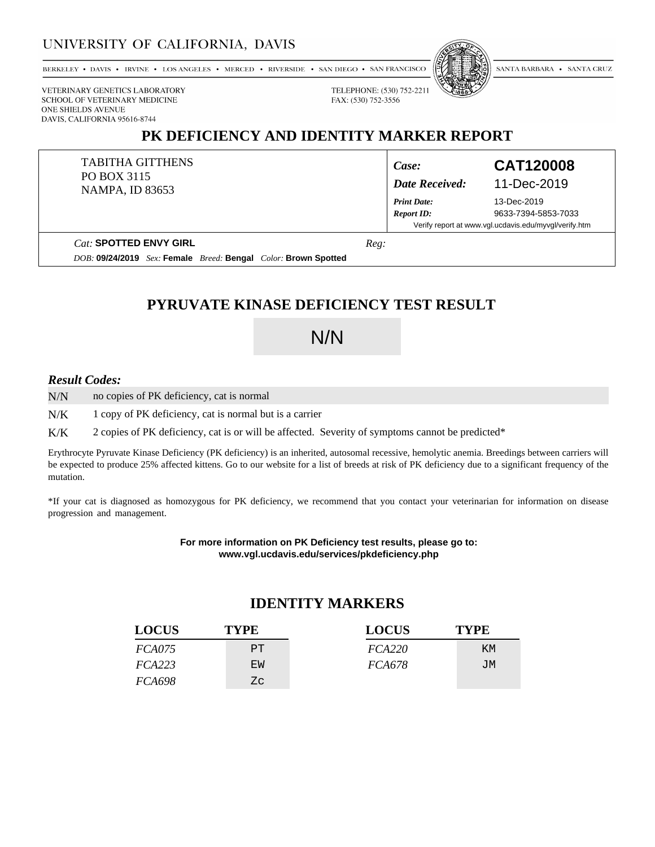### UNIVERSITY OF CALIFORNIA, DAVIS

BERKELEY • DAVIS • IRVINE • LOS ANGELES • MERCED • RIVERSIDE • SAN DIEGO • SAN FRANCISCO



SANTA BARBARA . SANTA CRUZ

VETERINARY GENETICS LABORATORY SCHOOL OF VETERINARY MEDICINE ONE SHIELDS AVENUE DAVIS, CALIFORNIA 95616-8744

### **PK DEFICIENCY AND IDENTITY MARKER REPORT**

FAX: (530) 752-3556

TABITHA GITTHENS PO BOX 3115 NAMPA, ID 83653

*Print Date:*

#### *Case:* **CAT120008** *Date Received:* 11-Dec-2019

13-Dec-2019 *Report ID:* 9633-7394-5853-7033 Verify report at www.vgl.ucdavis.edu/myvgl/verify.htm

*Cat:* **SPOTTED ENVY GIRL**

*DOB:* **09/24/2019** *Sex:* **Female** *Breed:* **Bengal** *Color:* **Brown Spotted**

*Reg:*

## **PYRUVATE KINASE DEFICIENCY TEST RESULT**

# N/N

#### *Result Codes:*

no copies of PK deficiency, cat is normal N/N

1 copy of PK deficiency, cat is normal but is a carrier N/K

2 copies of PK deficiency, cat is or will be affected. Severity of symptoms cannot be predicted\* K/K

Erythrocyte Pyruvate Kinase Deficiency (PK deficiency) is an inherited, autosomal recessive, hemolytic anemia. Breedings between carriers will be expected to produce 25% affected kittens. Go to our website for a list of breeds at risk of PK deficiency due to a significant frequency of the mutation.

\*If your cat is diagnosed as homozygous for PK deficiency, we recommend that you contact your veterinarian for information on disease progression and management.

> **For more information on PK Deficiency test results, please go to: www.vgl.ucdavis.edu/services/pkdeficiency.php**

### **IDENTITY MARKERS**

| <b>LOCUS</b>  | <b>TYPE</b> | <b>LOCUS</b>  | <b>TYPE</b> |
|---------------|-------------|---------------|-------------|
| <i>FCA075</i> | PT.         | FCA220        | KM          |
| FCA223        | EW          | <i>FCA678</i> | JМ          |
| <i>FCA698</i> | Ζc          |               |             |